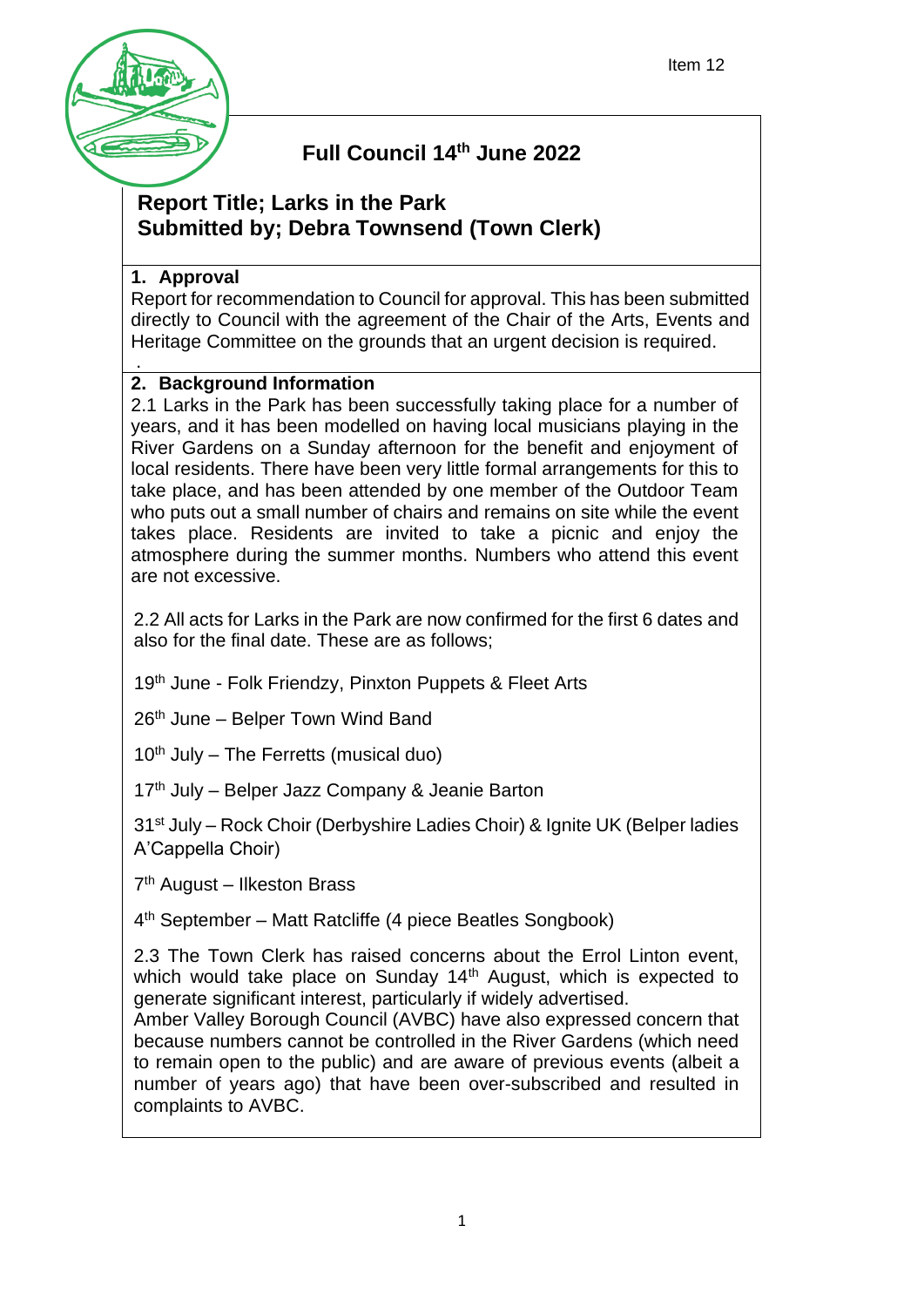

# **Full Council 14th June 2022**

## **Report Title; Larks in the Park Submitted by; Debra Townsend (Town Clerk)**

### **1. Approval**

Report for recommendation to Council for approval. This has been submitted directly to Council with the agreement of the Chair of the Arts, Events and Heritage Committee on the grounds that an urgent decision is required. .

### **2. Background Information**

2.1 Larks in the Park has been successfully taking place for a number of years, and it has been modelled on having local musicians playing in the River Gardens on a Sunday afternoon for the benefit and enjoyment of local residents. There have been very little formal arrangements for this to take place, and has been attended by one member of the Outdoor Team who puts out a small number of chairs and remains on site while the event takes place. Residents are invited to take a picnic and enjoy the atmosphere during the summer months. Numbers who attend this event are not excessive.

2.2 All acts for Larks in the Park are now confirmed for the first 6 dates and also for the final date. These are as follows;

19<sup>th</sup> June - Folk Friendzy, Pinxton Puppets & Fleet Arts

 $26<sup>th</sup>$  June – Belper Town Wind Band

 $10<sup>th</sup>$  July – The Ferretts (musical duo)

17<sup>th</sup> July – Belper Jazz Company & Jeanie Barton

31st July – Rock Choir (Derbyshire Ladies Choir) & Ignite UK (Belper ladies A'Cappella Choir)

7<sup>th</sup> August – Ilkeston Brass

4 th September – Matt Ratcliffe (4 piece Beatles Songbook)

2.3 The Town Clerk has raised concerns about the Errol Linton event, which would take place on Sunday 14<sup>th</sup> August, which is expected to generate significant interest, particularly if widely advertised.

Amber Valley Borough Council (AVBC) have also expressed concern that because numbers cannot be controlled in the River Gardens (which need to remain open to the public) and are aware of previous events (albeit a number of years ago) that have been over-subscribed and resulted in complaints to AVBC.